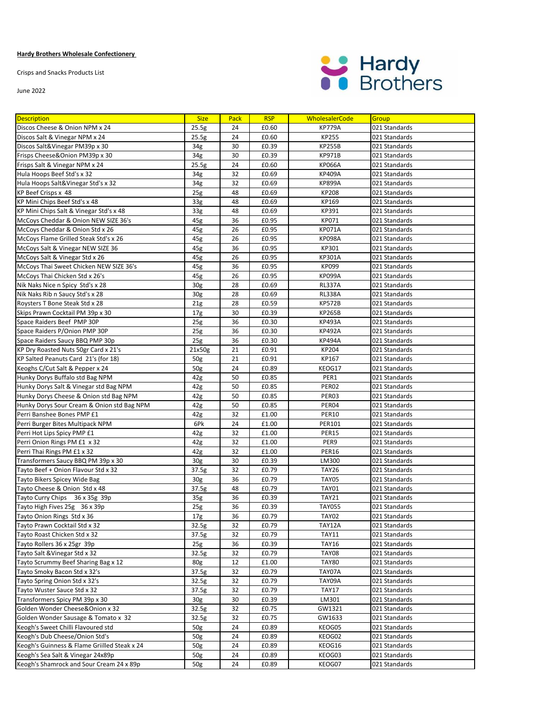## **Hardy Brothers Wholesale Confectionery**

Crisps and Snacks Products List

June 2022



| <b>Description</b>                                            | <b>Size</b>              | Pack     | <b>RSP</b>     | <b>WholesalerCode</b> | Group                          |
|---------------------------------------------------------------|--------------------------|----------|----------------|-----------------------|--------------------------------|
| Discos Cheese & Onion NPM x 24                                | 25.5g                    | 24       | £0.60          | <b>KP779A</b>         | 021 Standards                  |
| Discos Salt & Vinegar NPM x 24                                | 25.5g                    | 24       | £0.60          | <b>KP255</b>          | 021 Standards                  |
| Discos Salt&Vinegar PM39p x 30                                | 34g                      | 30       | £0.39          | <b>KP255B</b>         | 021 Standards                  |
| Frisps Cheese&Onion PM39p x 30                                | 34g                      | 30       | £0.39          | <b>KP971B</b>         | 021 Standards                  |
| Frisps Salt & Vinegar NPM x 24                                | 25.5g                    | 24       | £0.60          | <b>KP066A</b>         | 021 Standards                  |
| Hula Hoops Beef Std's x 32                                    | 34g                      | 32       | £0.69          | KP409A                | 021 Standards                  |
| Hula Hoops Salt&Vinegar Std's x 32                            | 34g                      | 32       | £0.69          | <b>KP899A</b>         | 021 Standards                  |
| KP Beef Crisps x 48                                           | 25 <sub>g</sub>          | 48       | £0.69          | KP208                 | 021 Standards                  |
| KP Mini Chips Beef Std's x 48                                 | 33 <sub>g</sub>          | 48       | £0.69          | KP169                 | 021 Standards                  |
| KP Mini Chips Salt & Vinegar Std's x 48                       | 33 <sub>g</sub>          | 48       | £0.69          | KP391                 | 021 Standards                  |
| McCoys Cheddar & Onion NEW SIZE 36's                          | 45g                      | 36       | £0.95          | KP071                 | 021 Standards                  |
| McCoys Cheddar & Onion Std x 26                               | 45g                      | 26       | £0.95          | <b>KP071A</b>         | 021 Standards                  |
| McCoys Flame Grilled Steak Std's x 26                         | 45g                      | 26       | £0.95          | <b>KP098A</b>         | 021 Standards                  |
| McCoys Salt & Vinegar NEW SIZE 36                             | 45g                      | 36       | £0.95          | KP301                 | 021 Standards                  |
| McCoys Salt & Vinegar Std x 26                                | 45g                      | 26       | £0.95          | KP301A                | 021 Standards                  |
| McCoys Thai Sweet Chicken NEW SIZE 36's                       | 45g                      | 36       | £0.95          | KP099                 | 021 Standards                  |
| McCoys Thai Chicken Std x 26's                                | 45g                      | 26       | £0.95          | <b>KP099A</b>         | 021 Standards                  |
| Nik Naks Nice n Spicy Std's x 28                              | 30 <sub>g</sub>          | 28       | £0.69          | <b>RL337A</b>         | 021 Standards                  |
| Nik Naks Rib n Saucy Std's x 28                               | 30 <sub>g</sub>          | 28       | £0.69          | <b>RL338A</b>         | 021 Standards                  |
| Roysters T Bone Steak Std x 28                                | 21g                      | 28       | £0.59          | <b>KP572B</b>         | 021 Standards                  |
| Skips Prawn Cocktail PM 39p x 30                              | 17 <sub>g</sub>          | 30       | £0.39          | <b>KP265B</b>         | 021 Standards                  |
| Space Raiders Beef PMP 30P                                    | 25g                      | 36       | £0.30          | <b>KP493A</b>         | 021 Standards                  |
| Space Raiders P/Onion PMP 30P                                 | 25 <sub>g</sub>          | 36       | £0.30          | <b>KP492A</b>         | 021 Standards                  |
| Space Raiders Saucy BBQ PMP 30p                               | 25g                      | 36       | £0.30          | <b>KP494A</b>         | 021 Standards                  |
| KP Dry Roasted Nuts 50gr Card x 21's                          | 21x50g                   | 21       | £0.91          | KP204                 | 021 Standards                  |
| KP Salted Peanuts Card 21's (for 18)                          | 50g                      | 21       | £0.91          | KP167                 | 021 Standards                  |
| Keoghs C/Cut Salt & Pepper x 24                               | 50g                      | 24       | £0.89          | KEOG17                | 021 Standards                  |
| Hunky Dorys Buffalo std Bag NPM                               | 42g                      | 50       | £0.85          | PER1                  | 021 Standards                  |
| Hunky Dorys Salt & Vinegar std Bag NPM                        | 42g                      | 50       | £0.85          | PER02                 | 021 Standards                  |
| Hunky Dorys Cheese & Onion std Bag NPM                        | 42g                      | 50       | £0.85          | PER03                 | 021 Standards                  |
| Hunky Dorys Sour Cream & Onion std Bag NPM                    | 42g                      | 50       | £0.85          | PER04                 | 021 Standards                  |
| Perri Banshee Bones PMP £1                                    | 42g                      | 32       | £1.00          | <b>PER10</b>          | 021 Standards                  |
| Perri Burger Bites Multipack NPM                              | 6Pk                      | 24       | £1.00          | <b>PER101</b>         | 021 Standards                  |
| Perri Hot Lips Spicy PMP £1                                   | 42g                      | 32       | £1.00          | <b>PER15</b>          | 021 Standards                  |
| Perri Onion Rings PM £1 x 32                                  | 42g                      | 32       | £1.00          | PER9                  | 021 Standards                  |
| Perri Thai Rings PM £1 x 32                                   | 42g                      | 32       | £1.00          | <b>PER16</b>          | 021 Standards                  |
| Transformers Saucy BBQ PM 39p x 30                            | 30 <sub>g</sub>          | 30       | £0.39          | LM300                 | 021 Standards                  |
| Tayto Beef + Onion Flavour Std x 32                           | 37.5g                    | 32       | £0.79          | <b>TAY26</b>          | 021 Standards                  |
| Tayto Bikers Spicey Wide Bag                                  | 30 <sub>g</sub>          | 36       | £0.79          | <b>TAY05</b>          | 021 Standards                  |
| Tayto Cheese & Onion Std x 48                                 | 37.5g                    | 48       | £0.79          | <b>TAY01</b>          | 021 Standards                  |
| Tayto Curry Chips 36 x 35g 39p                                | 35 <sub>g</sub>          | 36       | £0.39          | <b>TAY21</b>          | 021 Standards                  |
| Tayto High Fives 25g 36 x 39p                                 | 25g                      | 36       | £0.39          | <b>TAY055</b>         | 021 Standards                  |
| Tayto Onion Rings Std x 36                                    | 17 <sub>g</sub>          | 36       | £0.79          | <b>TAY02</b>          | 021 Standards                  |
| Tayto Prawn Cocktail Std x 32                                 | 32.5g                    | 32       | £0.79          | <b>TAY12A</b>         | 021 Standards                  |
| Tayto Roast Chicken Std x 32                                  | 37.5g                    | 32       | £0.79          | <b>TAY11</b>          | 021 Standards                  |
| Tayto Rollers 36 x 25gr 39p                                   | 25 <sub>g</sub>          | 36       | £0.39          | <b>TAY16</b>          | 021 Standards                  |
| Tayto Salt & Vinegar Std x 32                                 | 32.5g                    | 32       | £0.79          | <b>TAY08</b>          | 021 Standards                  |
| Tayto Scrummy Beef Sharing Bag x 12                           | 80g                      | 12       | £1.00          | <b>TAY80</b>          | 021 Standards                  |
| Tayto Smoky Bacon Std x 32's<br>Tayto Spring Onion Std x 32's | 37.5g                    | 32       | £0.79<br>£0.79 | TAY07A                | 021 Standards<br>021 Standards |
|                                                               | 32.5g                    | 32       |                | TAY09A                |                                |
| Tayto Wuster Sauce Std x 32<br>Transformers Spicy PM 39p x 30 | 37.5g<br>30 <sub>g</sub> | 32<br>30 | £0.79<br>£0.39 | <b>TAY17</b><br>LM301 | 021 Standards<br>021 Standards |
| Golden Wonder Cheese&Onion x 32                               | 32.5g                    | 32       | £0.75          | GW1321                | 021 Standards                  |
| Golden Wonder Sausage & Tomato x 32                           | 32.5g                    | 32       | £0.75          | GW1633                | 021 Standards                  |
| Keogh's Sweet Chilli Flavoured std                            | 50g                      | 24       | £0.89          | KEOG05                | 021 Standards                  |
| Keogh's Dub Cheese/Onion Std's                                | 50 <sub>g</sub>          | 24       | £0.89          | KEOG02                | 021 Standards                  |
| Keogh's Guinness & Flame Griilled Steak x 24                  | 50g                      | 24       | £0.89          | KEOG16                | 021 Standards                  |
| Keogh's Sea Salt & Vinegar 24x89p                             | 50g                      | 24       | £0.89          | KEOG03                | 021 Standards                  |
| Keogh's Shamrock and Sour Cream 24 x 89p                      | 50g                      | 24       | £0.89          | KEOG07                | 021 Standards                  |
|                                                               |                          |          |                |                       |                                |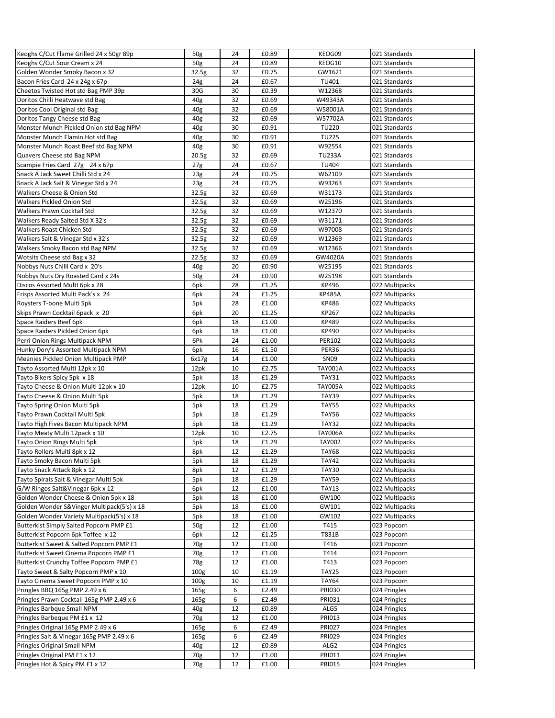| Keoghs C/Cut Flame Grilled 24 x 50gr 89p   | 50g              | 24 | £0.89 | KEOG09           | 021 Standards  |
|--------------------------------------------|------------------|----|-------|------------------|----------------|
| Keoghs C/Cut Sour Cream x 24               | 50 <sub>g</sub>  | 24 | £0.89 | KEOG10           | 021 Standards  |
| Golden Wonder Smoky Bacon x 32             | 32.5g            | 32 | £0.75 | GW1621           | 021 Standards  |
| Bacon Fries Card 24 x 24g x 67p            | 24 <sub>g</sub>  | 24 | £0.67 | TU401            | 021 Standards  |
| Cheetos Twisted Hot std Bag PMP 39p        | 30G              | 30 | £0.39 | W12368           | 021 Standards  |
| Doritos Chilli Heatwave std Bag            | 40g              | 32 | £0.69 | W49343A          | 021 Standards  |
| Doritos Cool Original std Bag              | 40g              | 32 | £0.69 | W58001A          | 021 Standards  |
| Doritos Tangy Cheese std Bag               | 40 <sub>g</sub>  | 32 | £0.69 | W57702A          | 021 Standards  |
| Monster Munch Pickled Onion std Bag NPM    | 40 <sub>g</sub>  | 30 | £0.91 | <b>TU220</b>     | 021 Standards  |
| Monster Munch Flamin Hot std Bag           | 40g              | 30 | £0.91 | <b>TU225</b>     | 021 Standards  |
| Monster Munch Roast Beef std Bag NPM       | 40g              | 30 | £0.91 | W92554           | 021 Standards  |
| Quavers Cheese std Bag NPM                 | 20.5g            | 32 | £0.69 | <b>TU233A</b>    | 021 Standards  |
| Scampie Fries Card 27g 24 x 67p            | 27 <sub>g</sub>  | 24 | £0.67 | <b>TU404</b>     | 021 Standards  |
| Snack A Jack Sweet Chilli Std x 24         | 23 <sub>g</sub>  | 24 | £0.75 | W62109           | 021 Standards  |
| Snack A Jack Salt & Vinegar Std x 24       | 23g              | 24 | £0.75 | W93263           | 021 Standards  |
| Walkers Cheese & Onion Std                 | 32.5g            | 32 | £0.69 | W31173           | 021 Standards  |
| Walkers Pickled Onion Std                  | 32.5g            | 32 | £0.69 | W25196           | 021 Standards  |
| Walkers Prawn Cocktail Std                 | 32.5g            | 32 | £0.69 | W12370           | 021 Standards  |
| Walkers Ready Salted Std X 32's            | 32.5g            | 32 | £0.69 | W31171           | 021 Standards  |
| Walkers Roast Chicken Std                  | 32.5g            | 32 | £0.69 | W97008           | 021 Standards  |
| Walkers Salt & Vinegar Std x 32's          | 32.5g            | 32 | £0.69 | W12369           | 021 Standards  |
| Walkers Smoky Bacon std Bag NPM            | 32.5g            | 32 | £0.69 | W12366           | 021 Standards  |
| Wotsits Cheese std Bag x 32                |                  | 32 | £0.69 |                  |                |
|                                            | 22.5g            |    |       | GW4020A          | 021 Standards  |
| Nobbys Nuts Chilli Card x 20's             | 40g              | 20 | £0.90 | W25195           | 021 Standards  |
| Nobbys Nuts Dry Roasted Card x 24s         | 50g              | 24 | £0.90 | W25198           | 021 Standards  |
| Discos Assorted MultI 6pk x 28             | 6pk              | 28 | £1.25 | KP496            | 022 Multipacks |
| Frisps Assorted Multi Pack's x 24          | 6pk              | 24 | £1.25 | <b>KP485A</b>    | 022 Multipacks |
| Roysters T-bone Multi 5pk                  | 5pk              | 28 | £1.00 | KP486            | 022 Multipacks |
| Skips Prawn Cocktail 6pack x 20            | 6pk              | 20 | £1.25 | KP267            | 022 Multipacks |
| Space Raiders Beef 6pk                     | 6pk              | 18 | £1.00 | KP489            | 022 Multipacks |
| Space Raiders Pickled Onion 6pk            | 6pk              | 18 | £1.00 | KP490            | 022 Multipacks |
| Perri Onion Rings Multipack NPM            | 6Pk              | 24 | £1.00 | PER102           | 022 Multipacks |
| Hunky Dory's Assorted Multipack NPM        | 6pk              | 16 | £1.50 | PER36            | 022 Multipacks |
| Meanies Pickled Onion Multipack PMP        | 6x17g            | 14 | £1.00 | <b>SN09</b>      | 022 Multipacks |
| Tayto Assorted Multi 12pk x 10             | 12pk             | 10 | £2.75 | <b>TAY001A</b>   | 022 Multipacks |
| Tayto Bikers Spicy 5pk x 18                | 5pk              | 18 | £1.29 | <b>TAY31</b>     | 022 Multipacks |
| Tayto Cheese & Onion Multi 12pk x 10       | 12pk             | 10 | £2.75 | <b>TAY005A</b>   | 022 Multipacks |
| Tayto Cheese & Onion Multi 5pk             | 5pk              | 18 | £1.29 | TAY39            | 022 Multipacks |
| Tayto Spring Onion Multi 5pk               | 5pk              | 18 | £1.29 | <b>TAY55</b>     | 022 Multipacks |
| Tayto Prawn Cocktail Multi 5pk             | 5pk              | 18 | £1.29 | <b>TAY56</b>     | 022 Multipacks |
| Tayto High Fives Bacon Multipack NPM       | 5pk              | 18 | £1.29 | <b>TAY32</b>     | 022 Multipacks |
| Tayto Meaty Multi 12pack x 10              | 12pk             | 10 | £2.75 | <b>TAY006A</b>   | 022 Multipacks |
| Tayto Onion Rings Multi 5pk                | 5pk              | 18 | £1.29 | <b>TAY002</b>    | 022 Multipacks |
| Tayto Rollers Multi 8pk x 12               | 8pk              | 12 | £1.29 | <b>TAY68</b>     | 022 Multipacks |
| Tayto Smoky Bacon Multi 5pk                | 5pk              | 18 | £1.29 | <b>TAY42</b>     | 022 Multipacks |
| Tayto Snack Attack 8pk x 12                | 8pk              | 12 | £1.29 | <b>TAY30</b>     | 022 Multipacks |
| Tayto Spirals Salt & Vinegar Multi 5pk     | 5pk              | 18 | £1.29 | <b>TAY59</b>     | 022 Multipacks |
| G/W Ringos Salt&Vinegar 6pk x 12           | 6pk              | 12 | £1.00 | <b>TAY13</b>     | 022 Multipacks |
| Golden Wonder Cheese & Onion 5pk x 18      |                  | 18 |       | GW100            | 022 Multipacks |
| Golden Wonder S&Vinger Multipack(5's) x 18 | 5pk              |    | £1.00 |                  |                |
|                                            | 5pk              | 18 | £1.00 | GW101            | 022 Multipacks |
| Golden Wonder Variety Multipack(5's) x 18  | 5pk              | 18 | £1.00 | GW102            | 022 Multipacks |
| Butterkist Simply Salted Popcorn PMP £1    | 50g              | 12 | £1.00 | T415             | 023 Popcorn    |
| Butterkist Popcorn 6pk Toffee x 12         | 6pk              | 12 | £1.25 | T831B            | 023 Popcorn    |
| Butterkist Sweet & Salted Popcorn PMP £1   | 70g              | 12 | £1.00 | T416             | 023 Popcorn    |
| Butterkist Sweet Cinema Popcorn PMP £1     | 70g              | 12 | £1.00 | T414             | 023 Popcorn    |
| Butterkist Crunchy Toffee Popcorn PMP £1   | 78g              | 12 | £1.00 | T413             | 023 Popcorn    |
| Tayto Sweet & Salty Popcorn PMP x 10       | 100 <sub>g</sub> | 10 | £1.19 | TAY25            | 023 Popcorn    |
| Tayto Cinema Sweet Popcorn PMP x 10        | 100 <sub>g</sub> | 10 | £1.19 | <b>TAY64</b>     | 023 Popcorn    |
| Pringles BBQ 165g PMP 2.49 x 6             | 165g             | 6  | £2.49 | <b>PRI030</b>    | 024 Pringles   |
| Pringles Prawn Cocktail 165g PMP 2.49 x 6  | 165g             | 6  | £2.49 | PRI031           | 024 Pringles   |
| Pringles Barbque Small NPM                 | 40g              | 12 | £0.89 | ALG5             | 024 Pringles   |
| Pringles Barbeque PM £1 x 12               | 70g              | 12 | £1.00 | PRI013           | 024 Pringles   |
| Pringles Original 165g PMP 2.49 x 6        | 165 <sub>g</sub> | 6  | £2.49 | <b>PRI027</b>    | 024 Pringles   |
| Pringles Salt & Vinegar 165g PMP 2.49 x 6  | 165g             | 6  | £2.49 | <b>PRI029</b>    | 024 Pringles   |
| Pringles Original Small NPM                | 40g              | 12 | £0.89 | ALG <sub>2</sub> | 024 Pringles   |
| Pringles Original PM £1 x 12               | 70g              | 12 | £1.00 | PRI011           | 024 Pringles   |
| Pringles Hot & Spicy PM £1 x 12            | 70g              | 12 | £1.00 | <b>PRI015</b>    | 024 Pringles   |
|                                            |                  |    |       |                  |                |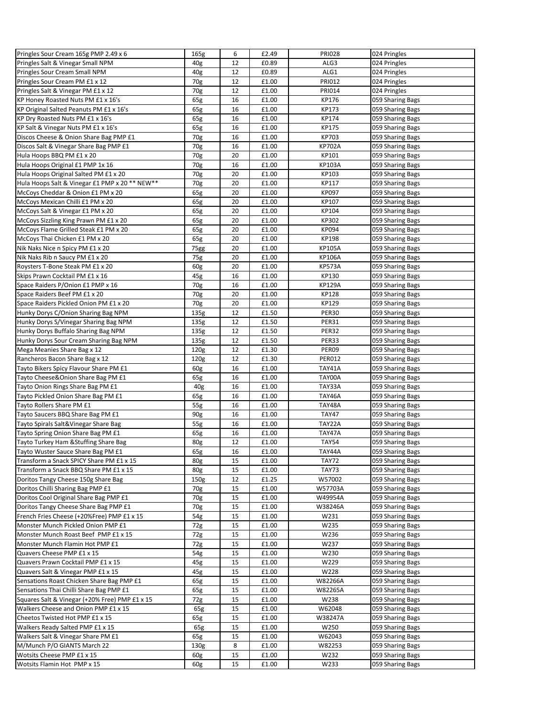| Pringles Sour Cream 165g PMP 2.49 x 6          | 165g             | 6  | £2.49 | <b>PRI028</b> | 024 Pringles     |
|------------------------------------------------|------------------|----|-------|---------------|------------------|
| Pringles Salt & Vinegar Small NPM              | 40 <sub>g</sub>  | 12 | £0.89 | ALG3          | 024 Pringles     |
| Pringles Sour Cream Small NPM                  | 40g              | 12 | £0.89 | ALG1          | 024 Pringles     |
| Pringles Sour Cream PM £1 x 12                 | 70g              | 12 | £1.00 | <b>PRI012</b> | 024 Pringles     |
| Pringles Salt & Vinegar PM £1 x 12             | 70g              | 12 | £1.00 | PRI014        | 024 Pringles     |
| KP Honey Roasted Nuts PM £1 x 16's             | 65g              | 16 | £1.00 | KP176         | 059 Sharing Bags |
| KP Original Salted Peanuts PM £1 x 16's        | 65g              | 16 | £1.00 | KP173         | 059 Sharing Bags |
| KP Dry Roasted Nuts PM £1 x 16's               | 65g              | 16 | £1.00 | KP174         | 059 Sharing Bags |
| KP Salt & Vinegar Nuts PM £1 x 16's            | 65g              | 16 | £1.00 | KP175         | 059 Sharing Bags |
| Discos Cheese & Onion Share Bag PMP £1         | 70g              | 16 | £1.00 | KP703         | 059 Sharing Bags |
| Discos Salt & Vinegar Share Bag PMP £1         | 70g              | 16 | £1.00 | <b>KP702A</b> | 059 Sharing Bags |
| Hula Hoops BBQ PM £1 x 20                      | 70g              | 20 | £1.00 | KP101         | 059 Sharing Bags |
| Hula Hoops Original £1 PMP 1x 16               | 70g              | 16 | £1.00 | KP103A        | 059 Sharing Bags |
| Hula Hoops Original Salted PM £1 x 20          | 70g              | 20 | £1.00 | KP103         | 059 Sharing Bags |
| Hula Hoops Salt & Vinegar £1 PMP x 20 ** NEW** | 70g              | 20 | £1.00 | KP117         | 059 Sharing Bags |
| McCoys Cheddar & Onion £1 PM x 20              | 65g              | 20 | £1.00 | KP097         | 059 Sharing Bags |
| McCoys Mexican Chilli £1 PM x 20               | 65g              | 20 | £1.00 | KP107         | 059 Sharing Bags |
|                                                | 65g              | 20 | £1.00 | KP104         |                  |
| McCoys Salt & Vinegar £1 PM x 20               |                  | 20 | £1.00 | KP302         | 059 Sharing Bags |
| McCoys Sizzling King Prawn PM £1 x 20          | 65g              |    |       |               | 059 Sharing Bags |
| McCoys Flame Grilled Steak £1 PM x 20          | 65g              | 20 | £1.00 | KP094         | 059 Sharing Bags |
| McCoys Thai Chicken £1 PM x 20                 | 65g              | 20 | £1.00 | KP198         | 059 Sharing Bags |
| Nik Naks Nice n Spicy PM £1 x 20               | 75gg             | 20 | £1.00 | KP105A        | 059 Sharing Bags |
| Nik Naks Rib n Saucy PM £1 x 20                | 75g              | 20 | £1.00 | KP106A        | 059 Sharing Bags |
| Roysters T-Bone Steak PM £1 x 20               | 60g              | 20 | £1.00 | <b>KP573A</b> | 059 Sharing Bags |
| Skips Prawn Cocktail PM £1 x 16                | 45g              | 16 | £1.00 | KP130         | 059 Sharing Bags |
| Space Raiders P/Onion £1 PMP x 16              | 70g              | 16 | £1.00 | <b>KP129A</b> | 059 Sharing Bags |
| Space Raiders Beef PM £1 x 20                  | 70g              | 20 | £1.00 | KP128         | 059 Sharing Bags |
| Space Raiders Pickled Onion PM £1 x 20         | 70g              | 20 | £1.00 | KP129         | 059 Sharing Bags |
| Hunky Dorys C/Onion Sharing Bag NPM            | 135g             | 12 | £1.50 | <b>PER30</b>  | 059 Sharing Bags |
| Hunky Dorys S/Vinegar Sharing Bag NPM          | 135g             | 12 | £1.50 | <b>PER31</b>  | 059 Sharing Bags |
| Hunky Dorys Buffalo Sharing Bag NPM            | 135g             | 12 | £1.50 | <b>PER32</b>  | 059 Sharing Bags |
| Hunky Dorys Sour Cream Sharing Bag NPM         | 135g             | 12 | £1.50 | PER33         | 059 Sharing Bags |
| Mega Meanies Share Bag x 12                    | 120g             | 12 | £1.30 | PER09         | 059 Sharing Bags |
| Rancheros Bacon Share Bag x 12                 | 120g             | 12 | £1.30 | <b>PER012</b> | 059 Sharing Bags |
| Tayto Bikers Spicy Flavour Share PM £1         | 60g              | 16 | £1.00 | <b>TAY41A</b> | 059 Sharing Bags |
| Tayto Cheese&Onion Share Bag PM £1             | 65g              | 16 | £1.00 | TAY00A        | 059 Sharing Bags |
| Tayto Onion Rings Share Bag PM £1              | 40 <sub>g</sub>  | 16 | £1.00 | TAY33A        | 059 Sharing Bags |
| Tayto Pickled Onion Share Bag PM £1            | 65g              | 16 | £1.00 | TAY46A        | 059 Sharing Bags |
| Tayto Rollers Share PM £1                      | 55g              | 16 | £1.00 | TAY48A        | 059 Sharing Bags |
| Tayto Saucers BBQ Share Bag PM £1              | 90g              | 16 | £1.00 | <b>TAY47</b>  | 059 Sharing Bags |
| Tayto Spirals Salt&Vinegar Share Bag           | 55g              | 16 | £1.00 | TAY22A        | 059 Sharing Bags |
| Tayto Spring Onion Share Bag PM £1             | 65g              | 16 | £1.00 | TAY47A        | 059 Sharing Bags |
| Tayto Turkey Ham & Stuffing Share Bag          | 80g              | 12 | £1.00 | <b>TAY54</b>  | 059 Sharing Bags |
| Tayto Wuster Sauce Share Bag PM £1             | 65g              | 16 | £1.00 | TAY44A        | 059 Sharing Bags |
| Transform a Snack SPICY Share PM £1 x 15       | 80g              | 15 | £1.00 | <b>TAY72</b>  | 059 Sharing Bags |
| Transform a Snack BBQ Share PM £1 x 15         | 80g              | 15 | £1.00 | <b>TAY73</b>  | 059 Sharing Bags |
| Doritos Tangy Cheese 150g Share Bag            | 150g             | 12 | £1.25 | W57002        | 059 Sharing Bags |
| Doritos Chilli Sharing Bag PMP £1              | 70g              | 15 | £1.00 | W57703A       | 059 Sharing Bags |
| Doritos Cool Original Share Bag PMP £1         | 70g              | 15 | £1.00 | W49954A       | 059 Sharing Bags |
| Doritos Tangy Cheese Share Bag PMP £1          | 70g              | 15 | £1.00 | W38246A       | 059 Sharing Bags |
| French Fries Cheese (+20%Free) PMP £1 x 15     | 54g              | 15 | £1.00 | W231          | 059 Sharing Bags |
| Monster Munch Pickled Onion PMP £1             | 72g              | 15 | £1.00 | W235          | 059 Sharing Bags |
| Monster Munch Roast Beef PMP £1 x 15           | 72g              | 15 | £1.00 | W236          | 059 Sharing Bags |
| Monster Munch Flamin Hot PMP £1                | 72g              | 15 | £1.00 | W237          | 059 Sharing Bags |
| Quavers Cheese PMP £1 x 15                     | 54g              | 15 | £1.00 | W230          | 059 Sharing Bags |
| Quavers Prawn Cocktail PMP £1 x 15             | 45g              | 15 | £1.00 | W229          | 059 Sharing Bags |
| Quavers Salt & Vinegar PMP £1 x 15             | 45g              | 15 | £1.00 | W228          | 059 Sharing Bags |
| Sensations Roast Chicken Share Bag PMP £1      | 65g              | 15 | £1.00 | W82266A       | 059 Sharing Bags |
| Sensations Thai Chilli Share Bag PMP £1        | 65g              | 15 | £1.00 | W82265A       | 059 Sharing Bags |
| Squares Salt & Vinegar (+20% Free) PMP £1 x 15 | 72g              | 15 | £1.00 | W238          | 059 Sharing Bags |
| Walkers Cheese and Onion PMP £1 x 15           | 65g              | 15 | £1.00 | W62048        | 059 Sharing Bags |
| Cheetos Twisted Hot PMP £1 x 15                | 65g              | 15 | £1.00 | W38247A       | 059 Sharing Bags |
| Walkers Ready Salted PMP £1 x 15               | 65g              | 15 | £1.00 | W250          | 059 Sharing Bags |
| Walkers Salt & Vinegar Share PM £1             | 65g              | 15 | £1.00 | W62043        | 059 Sharing Bags |
| M/Munch P/O GIANTS March 22                    | 130 <sub>g</sub> | 8  | £1.00 | W82253        |                  |
| Wotsits Cheese PMP £1 x 15                     |                  | 15 | £1.00 | W232          | 059 Sharing Bags |
|                                                | 60g              |    |       |               | 059 Sharing Bags |
| Wotsits Flamin Hot PMP x 15                    | 60g              | 15 | £1.00 | W233          | 059 Sharing Bags |